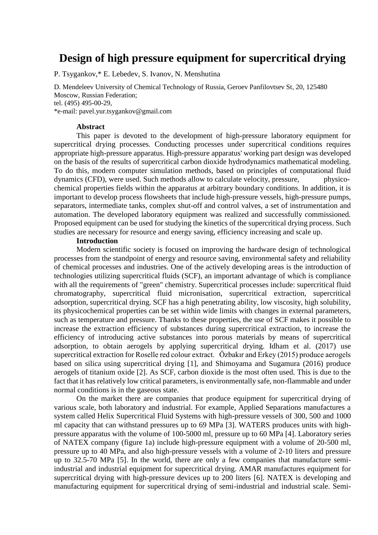# **Design of high pressure equipment for supercritical drying**

P. Tsygankov,\* E. Lebedev, S. Ivanov, N. Menshutina

D. Mendeleev University of Chemical Technology of Russia, Geroev Panfilovtsev St, 20, 125480 Moscow, Russian Federation; tel. (495) 495-00-29,

\*e-mail: pavel.yur.tsygankov@gmail.com

#### **Abstract**

This paper is devoted to the development of high-pressure laboratory equipment for supercritical drying processes. Conducting processes under supercritical conditions requires appropriate high-pressure apparatus. High-pressure apparatus' working part design was developed on the basis of the results of supercritical carbon dioxide hydrodynamics mathematical modeling. To do this, modern computer simulation methods, based on principles of computational fluid dynamics (CFD), were used. Such methods allow to calculate velocity, pressure, physicochemical properties fields within the apparatus at arbitrary boundary conditions. In addition, it is important to develop process flowsheets that include high-pressure vessels, high-pressure pumps, separators, intermediate tanks, complex shut-off and control valves, a set of instrumentation and automation. The developed laboratory equipment was realized and successfully commissioned. Proposed equipment can be used for studying the kinetics of the supercritical drying process. Such studies are necessary for resource and energy saving, efficiency increasing and scale up.

#### **Introduction**

Modern scientific society is focused on improving the hardware design of technological processes from the standpoint of energy and resource saving, environmental safety and reliability of chemical processes and industries. One of the actively developing areas is the introduction of technologies utilizing supercritical fluids (SCF), an important advantage of which is compliance with all the requirements of "green" chemistry. Supercritical processes include: supercritical fluid chromatography, supercritical fluid micronisation, supercritical extraction, supercritical adsorption, supercritical drying. SCF has a high penetrating ability, low viscosity, high solubility, its physicochemical properties can be set within wide limits with changes in external parameters, such as temperature and pressure. Thanks to these properties, the use of SCF makes it possible to increase the extraction efficiency of substances during supercritical extraction, to increase the efficiency of introducing active substances into porous materials by means of supercritical adsorption, to obtain aerogels by applying supercritical drying. Idham et al. (2017) use supercritical extraction for Roselle red colour extract. Özbakır and Erkey (2015) produce aerogels based on silica using supercritical drying [1], and Shimoyama and Sugamura (2016) produce aerogels of titanium oxide [2]. As SCF, carbon dioxide is the most often used. This is due to the fact that it has relatively low critical parameters, is environmentally safe, non-flammable and under normal conditions is in the gaseous state.

On the market there are companies that produce equipment for supercritical drying of various scale, both laboratory and industrial. For example, Applied Separations manufactures a system called Helix Supercritical Fluid Systems with high-pressure vessels of 300, 500 and 1000 ml capacity that can withstand pressures up to 69 MPa [3]. WATERS produces units with highpressure apparatus with the volume of 100-5000 ml, pressure up to 60 MPa [4]. Laboratory series of NATEX company (figure 1a) include high-pressure equipment with a volume of 20-500 ml, pressure up to 40 MPa, and also high-pressure vessels with a volume of 2-10 liters and pressure up to 32.5-70 MPa [5]. In the world, there are only a few companies that manufacture semiindustrial and industrial equipment for supercritical drying. AMAR manufactures equipment for supercritical drying with high-pressure devices up to 200 liters [6]. NATEX is developing and manufacturing equipment for supercritical drying of semi-industrial and industrial scale. Semi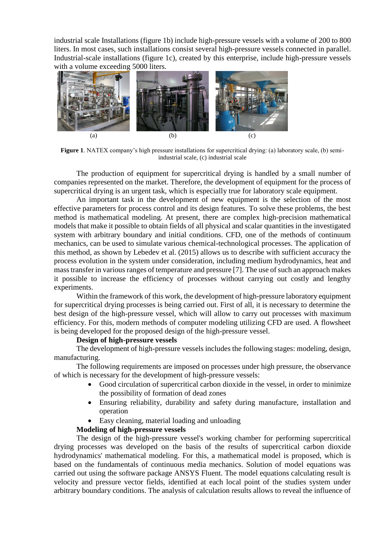industrial scale Installations (figure 1b) include high-pressure vessels with a volume of 200 to 800 liters. In most cases, such installations consist several high-pressure vessels connected in parallel. Industrial-scale installations (figure 1c), created by this enterprise, include high-pressure vessels with a volume exceeding 5000 liters.



**Figure 1***.* NATEX company's high pressure installations for supercritical drying: (a) laboratory scale, (b) semiindustrial scale, (c) industrial scale

The production of equipment for supercritical drying is handled by a small number of companies represented on the market. Therefore, the development of equipment for the process of supercritical drying is an urgent task, which is especially true for laboratory scale equipment.

An important task in the development of new equipment is the selection of the most effective parameters for process control and its design features. To solve these problems, the best method is mathematical modeling. At present, there are complex high-precision mathematical models that make it possible to obtain fields of all physical and scalar quantities in the investigated system with arbitrary boundary and initial conditions. CFD, one of the methods of continuum mechanics, can be used to simulate various chemical-technological processes. The application of this method, as shown by Lebedev et al. (2015) allows us to describe with sufficient accuracy the process evolution in the system under consideration, including medium hydrodynamics, heat and mass transfer in various ranges of temperature and pressure [7]. The use of such an approach makes it possible to increase the efficiency of processes without carrying out costly and lengthy experiments.

Within the framework of this work, the development of high-pressure laboratory equipment for supercritical drying processes is being carried out. First of all, it is necessary to determine the best design of the high-pressure vessel, which will allow to carry out processes with maximum efficiency. For this, modern methods of computer modeling utilizing CFD are used. A flowsheet is being developed for the proposed design of the high-pressure vessel.

### **Design of high-pressure vessels**

The development of high-pressure vessels includes the following stages: modeling, design, manufacturing.

The following requirements are imposed on processes under high pressure, the observance of which is necessary for the development of high-pressure vessels:

- Good circulation of supercritical carbon dioxide in the vessel, in order to minimize the possibility of formation of dead zones
- Ensuring reliability, durability and safety during manufacture, installation and operation
- Easy cleaning, material loading and unloading

# **Modeling of high-pressure vessels**

The design of the high-pressure vessel's working chamber for performing supercritical drying processes was developed on the basis of the results of supercritical carbon dioxide hydrodynamics' mathematical modeling. For this, a mathematical model is proposed, which is based on the fundamentals of continuous media mechanics. Solution of model equations was carried out using the software package ANSYS Fluent. The model equations calculating result is velocity and pressure vector fields, identified at each local point of the studies system under arbitrary boundary conditions. The analysis of calculation results allows to reveal the influence of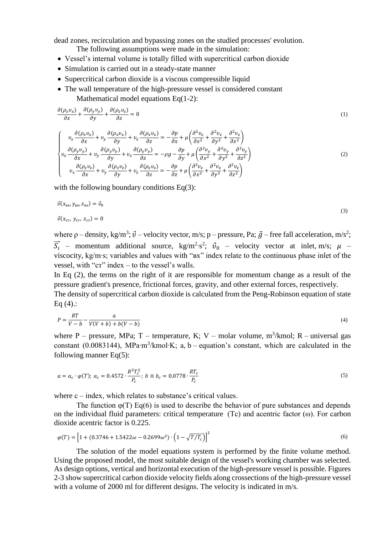dead zones, recirculation and bypassing zones on the studied processes' evolution.

The following assumptions were made in the simulation:

- Vessel's internal volume is totally filled with supercritical carbon dioxide
- Simulation is carried out in a steady-state manner
- Supercritical carbon dioxide is a viscous compressible liquid
- The wall temperature of the high-pressure vessel is considered constant Mathematical model equations Eq(1-2):

$$
\frac{\partial(\rho_x v_x)}{\partial x} + \frac{\partial(\rho_y v_y)}{\partial y} + \frac{\partial(\rho_z v_z)}{\partial z} = 0
$$
\n(1)

$$
\begin{cases}\nv_x \frac{\partial (\rho_x v_x)}{\partial x} + v_y \frac{\partial (\rho_x v_x)}{\partial y} + v_z \frac{\partial (\rho_x v_x)}{\partial z} = -\frac{\partial p}{\partial x} + \mu \left( \frac{\partial^2 v_x}{\partial x^2} + \frac{\partial^2 v_x}{\partial y^2} + \frac{\partial^2 v_x}{\partial z^2} \right) \\
v_x \frac{\partial (\rho_y v_y)}{\partial x} + v_y \frac{\partial (\rho_y v_y)}{\partial y} + v_z \frac{\partial (\rho_y v_y)}{\partial z} = -\rho g - \frac{\partial p}{\partial y} + \mu \left( \frac{\partial^2 v_y}{\partial x^2} + \frac{\partial^2 v_y}{\partial y^2} + \frac{\partial^2 v_y}{\partial z^2} \right) \\
v_x \frac{\partial (\rho_z v_z)}{\partial x} + v_y \frac{\partial (\rho_z v_z)}{\partial y} + v_z \frac{\partial (\rho_z v_z)}{\partial z} = -\frac{\partial p}{\partial z} + \mu \left( \frac{\partial^2 v_z}{\partial x^2} + \frac{\partial^2 v_z}{\partial y^2} + \frac{\partial^2 v_z}{\partial z^2} \right)\n\end{cases} (2)
$$

with the following boundary conditions Eq(3):

$$
\vec{v}(x_{\text{B}x}, y_{\text{B}x}, z_{\text{B}x}) = \vec{v}_0
$$
\n
$$
\vec{v}(x_{\text{CT}}, y_{\text{CT}}, z_{\text{CT}}) = 0
$$
\n(3)

where  $\rho$  – density, kg/m<sup>3</sup>;  $\vec{v}$  – velocity vector, m/s; p – pressure, Pa;  $\vec{g}$  – free fall acceleration, m/s<sup>2</sup>;  $\vec{S}_t$  – momentum additional source, kg/m<sup>2</sup>·s<sup>2</sup>;  $\vec{v}_0$  – velocity vector at inlet, m/s;  $\mu$  – viscocity, kg/m∙s; variables and values with "вх" index relate to the continuous phase inlet of the vessel, with "ст" index – to the vessel's walls.

In Eq (2), the terms on the right of it are responsible for momentum change as a result of the pressure gradient's presence, frictional forces, gravity, and other external forces, respectively.

The density of supercritical carbon dioxide is calculated from the Peng-Robinson equation of state Eq  $(4)$ .:

$$
P = \frac{RT}{V - b} - \frac{a}{V(V + b) + b(V - b)}\tag{4}
$$

where P – pressure, MPa; T – temperature, K; V – molar volume,  $m^3/kmol$ ; R – universal gas constant (0.0083144), MPa⋅m<sup>3</sup>/kmol⋅K; a, b – equation's constant, which are calculated in the following manner Eq(5):

$$
a = a_c \cdot \varphi(T); \ a_c = 0.4572 \cdot \frac{R^2 T_c^2}{P_c}; \ b \equiv b_c = 0.0778 \cdot \frac{RT_c}{P_c}
$$
 (5)

where  $c$  – index, which relates to substance's critical values.

The function  $\varphi(T)$  Eq(6) is used to describe the behavior of pure substances and depends on the individual fluid parameters: critical temperature (Tc) and acentric factor (ω). For carbon dioxide acentric factor is 0.225.

$$
\varphi(T) = \left[1 + (0.3746 + 1.5422\omega - 0.2699\omega^2) \cdot \left(1 - \sqrt{T/T_c}\right)\right]^2\tag{6}
$$

The solution of the model equations system is performed by the finite volume method. Using the proposed model, the most suitable design of the vessel's working chamber was selected. As design options, vertical and horizontal execution of the high-pressure vessel is possible. Figures 2-3 show supercritical carbon dioxide velocity fields along crossections of the high-pressure vessel with a volume of 2000 ml for different designs. The velocity is indicated in m/s.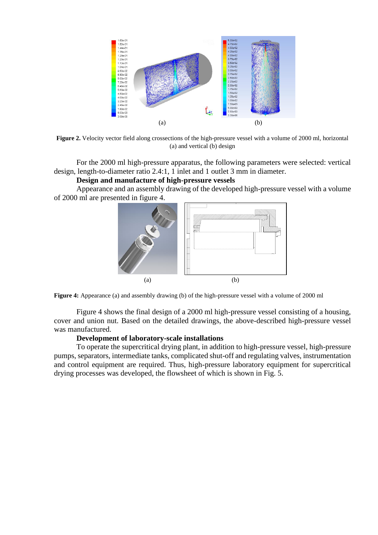

**Figure 2.** Velocity vector field along crossections of the high-pressure vessel with a volume of 2000 ml, horizontal (a) and vertical (b) design

For the 2000 ml high-pressure apparatus, the following parameters were selected: vertical design, length-to-diameter ratio 2.4:1, 1 inlet and 1 outlet 3 mm in diameter.

**Design and manufacture of high-pressure vessels**

Appearance and an assembly drawing of the developed high-pressure vessel with a volume of 2000 ml are presented in figure 4.



**Figure 4:** Appearance (a) and assembly drawing (b) of the high-pressure vessel with a volume of 2000 ml

Figure 4 shows the final design of a 2000 ml high-pressure vessel consisting of a housing, cover and union nut. Based on the detailed drawings, the above-described high-pressure vessel was manufactured.

#### **Development of laboratory-scale installations**

To operate the supercritical drying plant, in addition to high-pressure vessel, high-pressure pumps, separators, intermediate tanks, complicated shut-off and regulating valves, instrumentation and control equipment are required. Thus, high-pressure laboratory equipment for supercritical drying processes was developed, the flowsheet of which is shown in Fig. 5.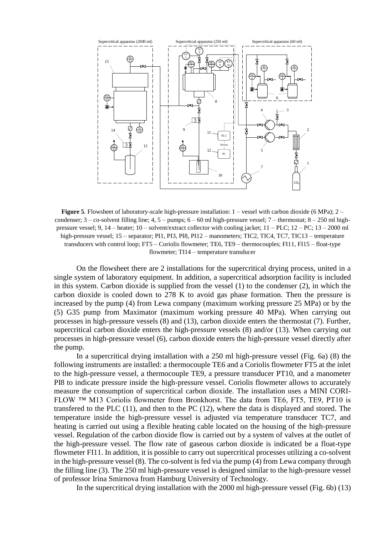

**Figure 5**. Flowsheet of laboratory-scale high-pressure installation: 1 – vessel with carbon dioxide (6 MPa); 2 – condenser;  $3 - \text{co-solvent filling line}; 4, 5 - \text{pumps}; 6 - 60 \text{ ml high-pressure vessel}; 7 - \text{thermostat}; 8 - 250 \text{ ml high-}$ pressure vessel; 9, 14 – heater; 10 – solvent/extract collector with cooling jacket;  $11 - \text{PLC}$ ;  $12 - \text{PC}$ ;  $13 - 2000$  ml high-pressure vessel; 15 – separator; PI1, PI3, PI8, PI12 – manometers; TIC2, TIC4, TC7, TIC13 – temperature transducers with control loop; FT5 – Coriolis flowmeter; TE6, TE9 – thermocouples; FI11, FI15 – float-type flowmeter; TI14 – temperature transducer

On the flowsheet there are 2 installations for the supercritical drying process, united in a single system of laboratory equipment. In addition, a supercritical adsorption facility is included in this system. Carbon dioxide is supplied from the vessel (1) to the condenser (2), in which the carbon dioxide is cooled down to 278 K to avoid gas phase formation. Then the pressure is increased by the pump (4) from Lewa company (maximum working pressure 25 MPa) or by the (5) G35 pump from Maximator (maximum working pressure 40 MPa). When carrying out processes in high-pressure vessels (8) and (13), carbon dioxide enters the thermostat (7). Further, supercritical carbon dioxide enters the high-pressure vessels (8) and/or (13). When carrying out processes in high-pressure vessel (6), carbon dioxide enters the high-pressure vessel directly after the pump.

In a supercritical drying installation with a 250 ml high-pressure vessel (Fig. 6a) (8) the following instruments are installed: a thermocouple TE6 and a Coriolis flowmeter FT5 at the inlet to the high-pressure vessel, a thermocouple TE9, a pressure transducer PT10, and a manometer PI8 to indicate pressure inside the high-pressure vessel. Coriolis flowmeter allows to accurately measure the consumption of supercritical carbon dioxide. The installation uses a MINI CORI-FLOW ™ M13 Coriolis flowmeter from Bronkhorst. The data from TE6, FT5, TE9, PT10 is transfered to the PLC (11), and then to the PC (12), where the data is displayed and stored. The temperature inside the high-pressure vessel is adjusted via temperature transducer TC7, and heating is carried out using a flexible heating cable located on the housing of the high-pressure vessel. Regulation of the carbon dioxide flow is carried out by a system of valves at the outlet of the high-pressure vessel. The flow rate of gaseous carbon dioxide is indicated be a float-type flowmeter FI11. In addition, it is possible to carry out supercritical processes utilizing a co-solvent in the high-pressure vessel (8). The co-solvent is fed via the pump (4) from Lewa company through the filling line (3). The 250 ml high-pressure vessel is designed similar to the high-pressure vessel of professor Irina Smirnova from Hamburg University of Technology.

In the supercritical drying installation with the 2000 ml high-pressure vessel (Fig. 6b) (13)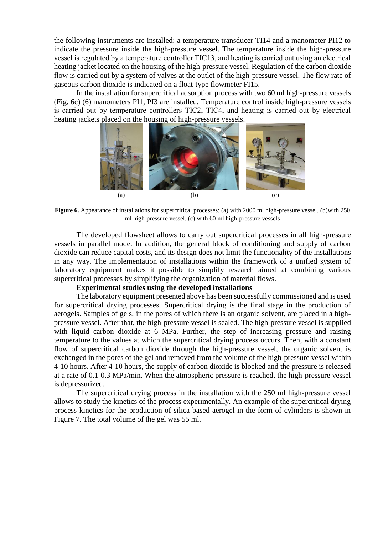the following instruments are installed: a temperature transducer TI14 and a manometer PI12 to indicate the pressure inside the high-pressure vessel. The temperature inside the high-pressure vessel is regulated by a temperature controller TIС13, and heating is carried out using an electrical heating jacket located on the housing of the high-pressure vessel. Regulation of the carbon dioxide flow is carried out by a system of valves at the outlet of the high-pressure vessel. The flow rate of gaseous carbon dioxide is indicated on a float-type flowmeter FI15.

In the installation for supercritical adsorption process with two 60 ml high-pressure vessels (Fig. 6c) (6) manometers PI1, PI3 are installed. Temperature control inside high-pressure vessels is carried out by temperature controllers TIС2, TIС4, and heating is carried out by electrical heating jackets placed on the housing of high-pressure vessels.



**Figure 6.** Appearance of installations for supercritical processes: (a) with 2000 ml high-pressure vessel, (b)with 250 ml high-pressure vessel, (c) with 60 ml high-pressure vessels

The developed flowsheet allows to carry out supercritical processes in all high-pressure vessels in parallel mode. In addition, the general block of conditioning and supply of carbon dioxide can reduce capital costs, and its design does not limit the functionality of the installations in any way. The implementation of installations within the framework of a unified system of laboratory equipment makes it possible to simplify research aimed at combining various supercritical processes by simplifying the organization of material flows.

#### **Experimental studies using the developed installations**

The laboratory equipment presented above has been successfully commissioned and is used for supercritical drying processes. Supercritical drying is the final stage in the production of aerogels. Samples of gels, in the pores of which there is an organic solvent, are placed in a highpressure vessel. After that, the high-pressure vessel is sealed. The high-pressure vessel is supplied with liquid carbon dioxide at 6 MPa. Further, the step of increasing pressure and raising temperature to the values at which the supercritical drying process occurs. Then, with a constant flow of supercritical carbon dioxide through the high-pressure vessel, the organic solvent is exchanged in the pores of the gel and removed from the volume of the high-pressure vessel within 4-10 hours. After 4-10 hours, the supply of carbon dioxide is blocked and the pressure is released at a rate of 0.1-0.3 MPa/min. When the atmospheric pressure is reached, the high-pressure vessel is depressurized.

The supercritical drying process in the installation with the 250 ml high-pressure vessel allows to study the kinetics of the process experimentally. An example of the supercritical drying process kinetics for the production of silica-based aerogel in the form of cylinders is shown in Figure 7. The total volume of the gel was 55 ml.